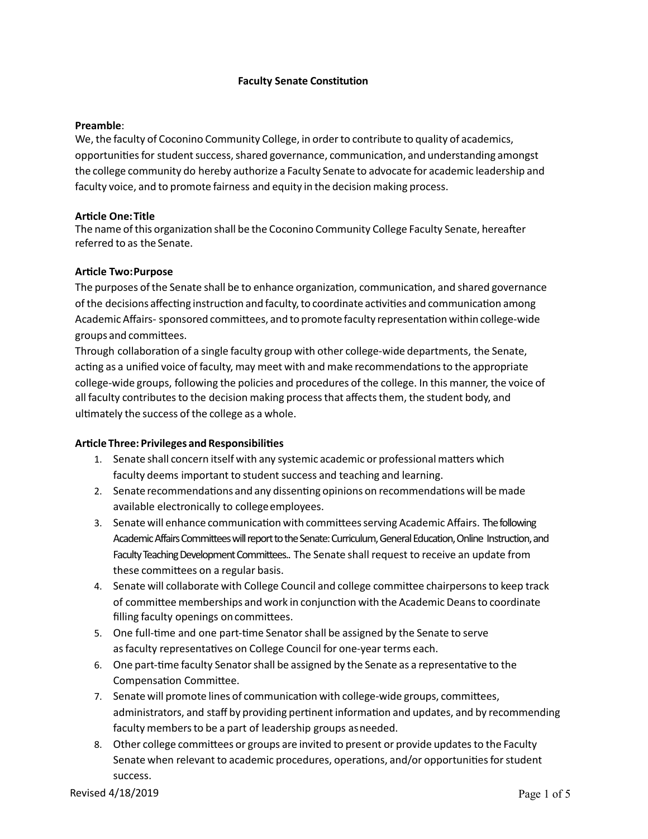#### **Faculty Senate Constitution**

#### **Preamble**:

We, the faculty of Coconino Community College, in order to contribute to quality of academics, opportunities for student success, shared governance, communication, and understanding amongst the college community do hereby authorize a Faculty Senate to advocate for academic leadership and faculty voice, and to promote fairness and equity in the decision making process. 

# **Ar5cle One:Title**

The name of this organization shall be the Coconino Community College Faculty Senate, hereafter referred to as the Senate. 

#### **Ar5cle Two:Purpose**

The purposes of the Senate shall be to enhance organization, communication, and shared governance of the decisions affecting instruction and faculty, to coordinate activities and communication among Academic Affairs- sponsored committees, and to promote faculty representation within college-wide groups and committees.

Through collaboration of a single faculty group with other college-wide departments, the Senate, acting as a unified voice of faculty, may meet with and make recommendations to the appropriate college-wide groups, following the policies and procedures of the college. In this manner, the voice of all faculty contributes to the decision making process that affects them, the student body, and ultimately the success of the college as a whole.

## **Article Three: Privileges and Responsibilities**

- 1. Senate shall concern itself with any systemic academic or professional matters which faculty deems important to student success and teaching and learning.
- 2. Senate recommendations and any dissenting opinions on recommendations will be made available electronically to college employees.
- 3. Senate will enhance communication with committees serving Academic Affairs. The following Academic Affairs Committees will report to the Senate: Curriculum, General Education, Online Instruction, and Faculty Teaching Development Committees.. The Senate shall request to receive an update from these committees on a regular basis.
- 4. Senate will collaborate with College Council and college committee chairpersons to keep track of committee memberships and work in conjunction with the Academic Deans to coordinate filling faculty openings on committees.
- 5. One full-time and one part-time Senator shall be assigned by the Senate to serve as faculty representatives on College Council for one-year terms each.
- 6. One part-time faculty Senator shall be assigned by the Senate as a representative to the Compensation Committee.
- 7. Senate will promote lines of communication with college-wide groups, committees, administrators, and staff by providing pertinent information and updates, and by recommending faculty members to be a part of leadership groups asneeded.
- 8. Other college committees or groups are invited to present or provide updates to the Faculty Senate when relevant to academic procedures, operations, and/or opportunities for student success.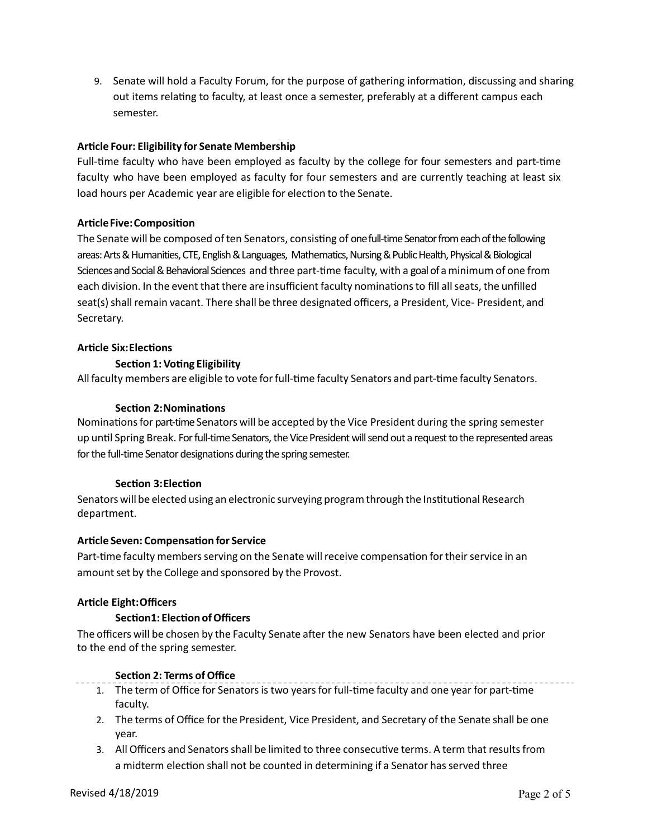9. Senate will hold a Faculty Forum, for the purpose of gathering information, discussing and sharing out items relating to faculty, at least once a semester, preferably at a different campus each semester. 

# **Ar5cle Four: Eligibility for Senate Membership**

Full-time faculty who have been employed as faculty by the college for four semesters and part-time faculty who have been employed as faculty for four semesters and are currently teaching at least six load hours per Academic year are eligible for election to the Senate.

# **Article Five: Composition**

The Senate will be composed of ten Senators, consisting of one full-time Senator from each of the following Sciences and Social & Behavioral Sciences and three part-time faculty, with a goal of a minimum of one from each division. In the event that there are insufficient faculty nominations to fill all seats, the unfilled seat(s) shall remain vacant. There shall be three designated officers, a President, Vice- President, and areas: Arts & Humanities, CTE, English & Languages, Mathematics, Nursing & Public Health, Physical & Biological Secretary.

# **Article Six:Elections**

# **Section 1: Voting Eligibility**

All faculty members are eligible to vote for full-time faculty Senators and part-time faculty Senators.

## **Section 2: Nominations**

Nominations for part-time Senators will be accepted by the Vice President during the spring semester up until Spring Break. For full-time Senators, the Vice President will send out a request to the represented areas for the full-time Senator designations during the spring semester.

## **Section 3: Election**

Senators will be elected using an electronic surveying program through the Institutional Research department.

## **Ar5cle Seven: Compensa5on for Service**

Part-time faculty members serving on the Senate will receive compensation for their service in an amount set by the College and sponsored by the Provost.

## **Ar5cle Eight:Officers**

## **Section1: Election of Officers**

The officers will be chosen by the Faculty Senate after the new Senators have been elected and prior to the end of the spring semester.

# **Section 2: Terms of Office**

- 1. The term of Office for Senators is two years for full-time faculty and one year for part-time faculty.
- 2. The terms of Office for the President, Vice President, and Secretary of the Senate shall be one year.
- 3. All Officers and Senators shall be limited to three consecutive terms. A term that results from a midterm election shall not be counted in determining if a Senator has served three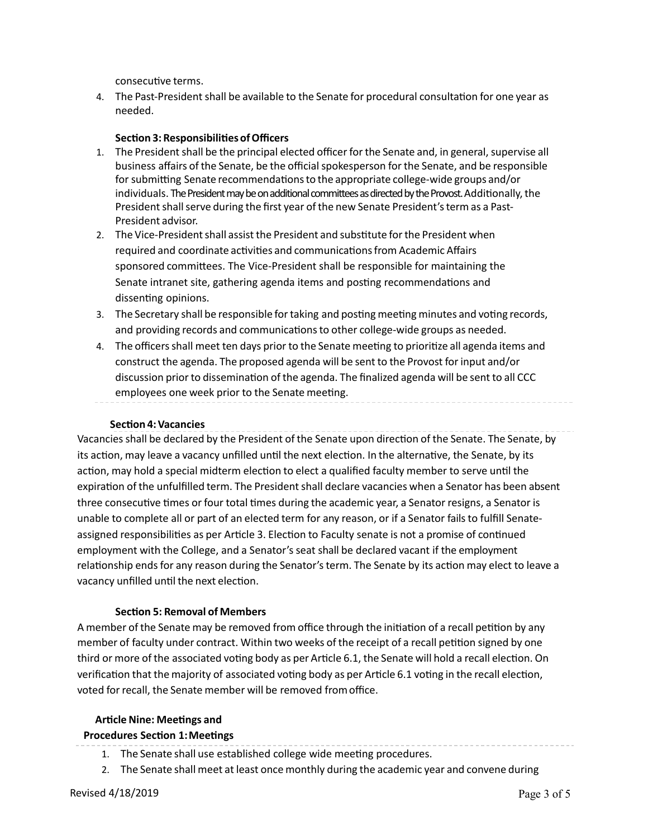consecutive terms.

4. The Past-President shall be available to the Senate for procedural consultation for one year as needed. 

#### **Section 3: Responsibilities of Officers**

- 1. The President shall be the principal elected officer for the Senate and, in general, supervise all business affairs of the Senate, be the official spokesperson for the Senate, and be responsible for submitting Senate recommendations to the appropriate college-wide groups and/or individuals. The President may be on additional committees as directed by the Provost. Additionally, the President shall serve during the first year of the new Senate President's term as a Past- President advisor.
- 2. The Vice-President shall assist the President and substitute for the President when required and coordinate activities and communications from Academic Affairs sponsored committees. The Vice-President shall be responsible for maintaining the Senate intranet site, gathering agenda items and posting recommendations and dissenting opinions.
- 3. The Secretary shall be responsible for taking and posting meeting minutes and voting records, and providing records and communications to other college-wide groups as needed.
- 4. The officers shall meet ten days prior to the Senate meeting to prioritize all agenda items and construct the agenda. The proposed agenda will be sent to the Provost for input and/or discussion prior to dissemination of the agenda. The finalized agenda will be sent to all CCC employees one week prior to the Senate meeting.

#### **Sec5on 4:Vacancies**

Vacancies shall be declared by the President of the Senate upon direction of the Senate. The Senate, by its action, may leave a vacancy unfilled until the next election. In the alternative, the Senate, by its action, may hold a special midterm election to elect a qualified faculty member to serve until the expiration of the unfulfilled term. The President shall declare vacancies when a Senator has been absent three consecutive times or four total times during the academic year, a Senator resigns, a Senator is unable to complete all or part of an elected term for any reason, or if a Senator fails to fulfill Senateassigned responsibilities as per Article 3. Election to Faculty senate is not a promise of continued employment with the College, and a Senator's seat shall be declared vacant if the employment relationship ends for any reason during the Senator's term. The Senate by its action may elect to leave a vacancy unfilled until the next election.

## **Section 5: Removal of Members**

A member of the Senate may be removed from office through the initiation of a recall petition by any member of faculty under contract. Within two weeks of the receipt of a recall petition signed by one third or more of the associated voting body as per Article 6.1, the Senate will hold a recall election. On verification that the majority of associated voting body as per Article 6.1 voting in the recall election, voted for recall, the Senate member will be removed from office.

## **Ar5cle Nine: Mee5ngs and**

## **Procedures Section 1: Meetings**

- 1. The Senate shall use established college wide meeting procedures.
- 2. The Senate shall meet at least once monthly during the academic year and convene during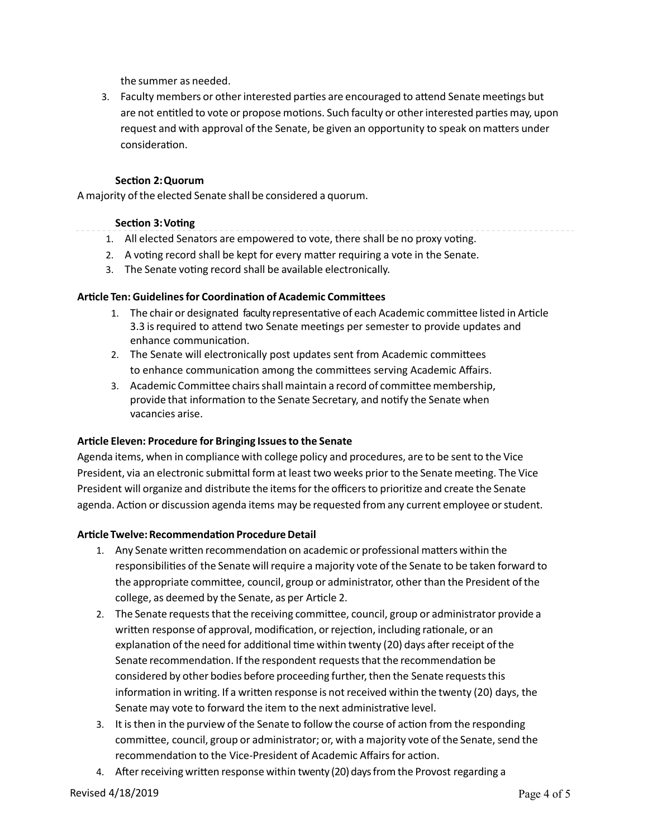the summer as needed. 

3. Faculty members or other interested parties are encouraged to attend Senate meetings but are not entitled to vote or propose motions. Such faculty or other interested parties may, upon request and with approval of the Senate, be given an opportunity to speak on matters under consideration.

# **Section 2: Quorum**

 A majority of the elected Senate shall be considered a quorum. 

## **Section 3: Voting**

- 1. All elected Senators are empowered to vote, there shall be no proxy voting.
- 2. A voting record shall be kept for every matter requiring a vote in the Senate.
- 3. The Senate voting record shall be available electronically.

## **Article Ten: Guidelines for Coordination of Academic Committees**

- 1. The chair or designated faculty representative of each Academic committee listed in Article 3.3 is required to attend two Senate meetings per semester to provide updates and enhance communication.
- 2. The Senate will electronically post updates sent from Academic committees to enhance communication among the committees serving Academic Affairs.
- 3. Academic Committee chairs shall maintain a record of committee membership, provide that information to the Senate Secretary, and notify the Senate when vacancies arise.

## **Ar5cle Eleven: Procedure for Bringing Issuesto the Senate**

 Agenda items, when in compliance with college policy and procedures, are to be sent to the Vice President, via an electronic submittal form at least two weeks prior to the Senate meeting. The Vice President will organize and distribute the items for the officers to prioritize and create the Senate agenda. Action or discussion agenda items may be requested from any current employee or student.

# **Article Twelve: Recommendation Procedure Detail**

- 1. Any Senate written recommendation on academic or professional matters within the responsibilities of the Senate will require a majority vote of the Senate to be taken forward to the appropriate committee, council, group or administrator, other than the President of the college, as deemed by the Senate, as per Article 2.
- 2. The Senate requests that the receiving committee, council, group or administrator provide a written response of approval, modification, or rejection, including rationale, or an explanation of the need for additional time within twenty (20) days after receipt of the Senate recommendation. If the respondent requests that the recommendation be considered by other bodies before proceeding further, then the Senate requests this information in writing. If a written response is not received within the twenty (20) days, the Senate may vote to forward the item to the next administrative level.
- 3. It is then in the purview of the Senate to follow the course of action from the responding committee, council, group or administrator; or, with a majority vote of the Senate, send the recommendation to the Vice-President of Academic Affairs for action.
- 4. After receiving written response within twenty (20) days from the Provost regarding a